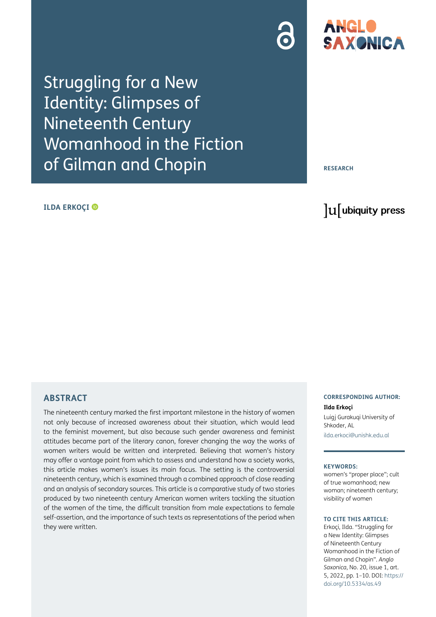Struggling for a New Identity: Glimpses of Nineteenth Century Womanhood in the Fiction of Gilman and Chopin

#### **ILDA ERKOÇI**

**RESEARCH**

ANGLO

**SAXONICA** 

# lu ubiquity press

## **ABSTRACT**

The nineteenth century marked the first important milestone in the history of women not only because of increased awareness about their situation, which would lead to the feminist movement, but also because such gender awareness and feminist attitudes became part of the literary canon, forever changing the way the works of women writers would be written and interpreted. Believing that women's history may offer a vantage point from which to assess and understand how a society works, this article makes women's issues its main focus. The setting is the controversial nineteenth century, which is examined through a combined approach of close reading and an analysis of secondary sources. This article is a comparative study of two stories produced by two nineteenth century American women writers tackling the situation of the women of the time, the difficult transition from male expectations to female self-assertion, and the importance of such texts as representations of the period when they were written.

#### **CORRESPONDING AUTHOR:**

**Ilda Erkoçi** Luigj Gurakuqi University of Shkoder, AL [ilda.erkoci@unishk.edu.al](mailto:ilda.erkoci@unishk.edu.al)

#### **KEYWORDS:**

women's "proper place"; cult of true womanhood; new woman; nineteenth century; visibility of women

#### **TO CITE THIS ARTICLE:**

Erkoçi, Ilda. "Struggling for a New Identity: Glimpses of Nineteenth Century Womanhood in the Fiction of Gilman and Chopin". *Anglo Saxonica*, No. 20, issue 1, art. 5, 2022, pp. 1–10. DOI: [https://](https://doi.org/10.5334/as.49) [doi.org/10.5334/as.49](https://doi.org/10.5334/as.49)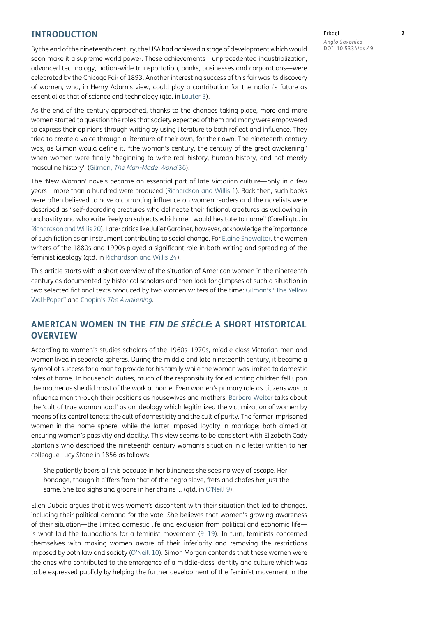#### **INTRODUCTION**

By the end of the nineteenth century, the USA had achieved a stage of development which would soon make it a supreme world power. These achievements—unprecedented industrialization, advanced technology, nation-wide transportation, banks, businesses and corporations—were celebrated by the Chicago Fair of 1893. Another interesting success of this fair was its discovery of women, who, in Henry Adam's view, could play a contribution for the nation's future as essential as that of science and technology (qtd. in [Lauter 3](#page-9-0)).

As the end of the century approached, thanks to the changes taking place, more and more women started to question the roles that society expected of them and many were empowered to express their opinions through writing by using literature to both reflect and influence. They tried to create a voice through a literature of their own, for their own. The nineteenth century was, as Gilman would define it, "the woman's century, the century of the great awakening" when women were finally "beginning to write real history, human history, and not merely masculine history" (Gilman, [The Man-Made World](#page-9-1) 36).

The 'New Woman' novels became an essential part of late Victorian culture—only in a few years—more than a hundred were produced [\(Richardson and Willis 1](#page-9-2)). Back then, such books were often believed to have a corrupting influence on women readers and the novelists were described as "self-degrading creatures who delineate their fictional creatures as wallowing in unchastity and who write freely on subjects which men would hesitate to name" (Corelli qtd. in [Richardson and Willis 20\)](#page-9-2). Later critics like Juliet Gardiner, however, acknowledge the importance of such fiction as an instrument contributing to social change. For [Elaine Showalter,](#page-9-3) the women writers of the 1880s and 1990s played a significant role in both writing and spreading of the feminist ideology (qtd. in [Richardson and Willis 24\)](#page-9-2).

This article starts with a short overview of the situation of American women in the nineteenth century as documented by historical scholars and then look for glimpses of such a situation in two selected fictional texts produced by two women writers of the time: Gilman's "The Yellow Wall-Paper" and Chopin's [The Awakening](#page-9-4).

# **AMERICAN WOMEN IN THE FIN DE SIÈCLE: A SHORT HISTORICAL OVERVIEW**

According to women's studies scholars of the 1960s–1970s, middle-class Victorian men and women lived in separate spheres. During the middle and late nineteenth century, it became a symbol of success for a man to provide for his family while the woman was limited to domestic roles at home. In household duties, much of the responsibility for educating children fell upon the mother as she did most of the work at home. Even women's primary role as citizens was to influence men through their positions as housewives and mothers. [Barbara Welter](#page-9-5) talks about the 'cult of true womanhood' as an ideology which legitimized the victimization of women by means of its central tenets: the cult of domesticity and the cult of purity. The former imprisoned women in the home sphere, while the latter imposed loyalty in marriage; both aimed at ensuring women's passivity and docility. This view seems to be consistent with Elizabeth Cady Stanton's who described the nineteenth century woman's situation in a letter written to her colleague Lucy Stone in 1856 as follows:

She patiently bears all this because in her blindness she sees no way of escape. Her bondage, though it differs from that of the negro slave, frets and chafes her just the same. She too sighs and groans in her chains … (qtd. in O'Neill 9).

Ellen Dubois argues that it was women's discontent with their situation that led to changes, including their political demand for the vote. She believes that women's growing awareness of their situation—the limited domestic life and exclusion from political and economic life is what laid the foundations for a feminist movement ([9–19\)](#page-9-6). In turn, feminists concerned themselves with making women aware of their inferiority and removing the restrictions imposed by both law and society (O'Neill 10). Simon Morgan contends that these women were the ones who contributed to the emergence of a middle-class identity and culture which was to be expressed publicly by helping the further development of the feminist movement in the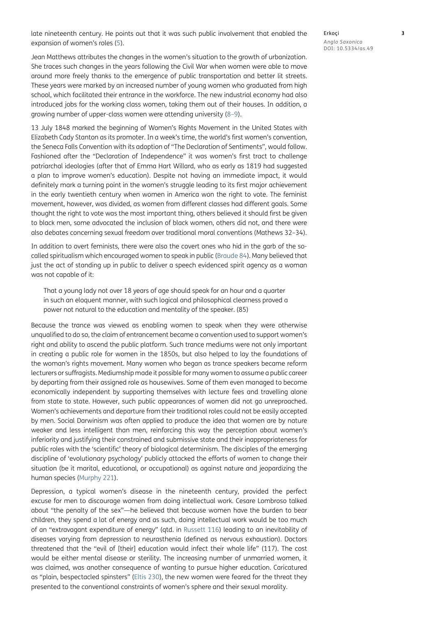late nineteenth century. He points out that it was such public involvement that enabled the expansion of women's roles (5).

Erkoçi **3** *Anglo Saxonica* DOI: 10.5334/as.49

Jean Matthews attributes the changes in the women's situation to the growth of urbanization. She traces such changes in the years following the Civil War when women were able to move around more freely thanks to the emergence of public transportation and better lit streets. These years were marked by an increased number of young women who graduated from high school, which facilitated their entrance in the workforce. The new industrial economy had also introduced jobs for the working class women, taking them out of their houses. In addition, a growing number of upper-class women were attending university [\(8–9\)](#page-9-7).

13 July 1848 marked the beginning of Women's Rights Movement in the United States with Elizabeth Cady Stanton as its promoter. In a week's time, the world's first women's convention, the Seneca Falls Convention with its adoption of "The Declaration of Sentiments", would follow. Fashioned after the "Declaration of Independence" it was women's first tract to challenge patriarchal ideologies (after that of Emma Hart Willard, who as early as 1819 had suggested a plan to improve women's education). Despite not having an immediate impact, it would definitely mark a turning point in the women's struggle leading to its first major achievement in the early twentieth century when women in America won the right to vote. The feminist movement, however, was divided, as women from different classes had different goals. Some thought the right to vote was the most important thing, others believed it should first be given to black men, some advocated the inclusion of black women, others did not, and there were also debates concerning sexual freedom over traditional moral conventions (Mathews 32–34).

In addition to overt feminists, there were also the covert ones who hid in the garb of the socalled spiritualism which encouraged women to speak in public ([Braude 84](#page-9-8)). Many believed that just the act of standing up in public to deliver a speech evidenced spirit agency as a woman was not capable of it:

That a young lady not over 18 years of age should speak for an hour and a quarter in such an eloquent manner, with such logical and philosophical clearness proved a power not natural to the education and mentality of the speaker. (85)

Because the trance was viewed as enabling women to speak when they were otherwise unqualified to do so, the claim of entrancement became a convention used to support women's right and ability to ascend the public platform. Such trance mediums were not only important in creating a public role for women in the 1850s, but also helped to lay the foundations of the woman's rights movement. Many women who began as trance speakers became reform lecturers or suffragists. Mediumship made it possible for many women to assume a public career by departing from their assigned role as housewives. Some of them even managed to become economically independent by supporting themselves with lecture fees and travelling alone from state to state. However, such public appearances of women did not go unreproached. Women's achievements and departure from their traditional roles could not be easily accepted by men. Social Darwinism was often applied to produce the idea that women are by nature weaker and less intelligent than men, reinforcing this way the perception about women's inferiority and justifying their constrained and submissive state and their inappropriateness for public roles with the 'scientific' theory of biological determinism. The disciples of the emerging discipline of 'evolutionary psychology' publicly attacked the efforts of women to change their situation (be it marital, educational, or occupational) as against nature and jeopardizing the human species (Murphy 221).

Depression, a typical women's disease in the nineteenth century, provided the perfect excuse for men to discourage women from doing intellectual work. Cesare Lombroso talked about "the penalty of the sex"—he believed that because women have the burden to bear children, they spend a lot of energy and as such, doing intellectual work would be too much of an "extravagant expenditure of energy" (qtd. in Russett 116) leading to an inevitability of diseases varying from depression to neurasthenia (defined as nervous exhaustion). Doctors threatened that the "evil of [their] education would infect their whole life" (117). The cost would be either mental disease or sterility. The increasing number of unmarried women, it was claimed, was another consequence of wanting to pursue higher education. Caricatured as "plain, bespectacled spinsters" [\(Eltis 230\)](#page-9-9), the new women were feared for the threat they presented to the conventional constraints of women's sphere and their sexual morality.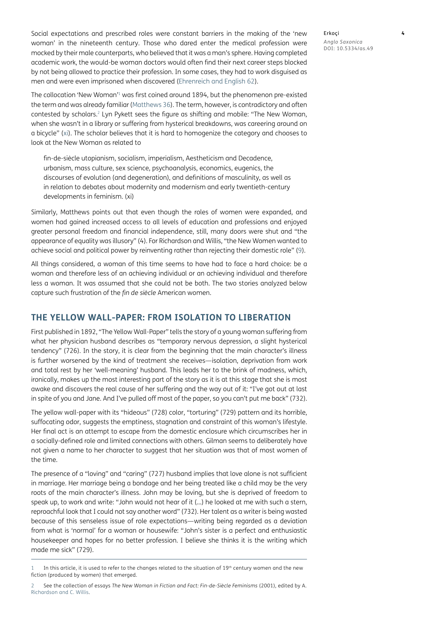Social expectations and prescribed roles were constant barriers in the making of the 'new woman' in the nineteenth century. Those who dared enter the medical profession were mocked by their male counterparts, who believed that it was a man's sphere. Having completed academic work, the would-be woman doctors would often find their next career steps blocked by not being allowed to practice their profession. In some cases, they had to work disguised as men and were even imprisoned when discovered [\(Ehrenreich and English 62\)](#page-9-10).

The collocation 'New Woman'[1](#page-3-0) was first coined around 1894, but the phenomenon pre-existed the term and was already familiar ([Matthews 36\)](#page-9-7). The term, however, is contradictory and often contested by scholars.2 Lyn Pykett sees the figure as shifting and mobile: "The New Woman, when she wasn't in a library or suffering from hysterical breakdowns, was careering around on a bicycle" ([xi](#page-9-11)). The scholar believes that it is hard to homogenize the category and chooses to look at the New Woman as related to

fin-de-siècle utopianism, socialism, imperialism, Aestheticism and Decadence, urbanism, mass culture, sex science, psychoanalysis, economics, eugenics, the discourses of evolution (and degeneration), and definitions of masculinity, as well as in relation to debates about modernity and modernism and early twentieth-century developments in feminism. (xi)

Similarly, Matthews points out that even though the roles of women were expanded, and women had gained increased access to all levels of education and professions and enjoyed greater personal freedom and financial independence, still, many doors were shut and "the appearance of equality was illusory" (4). For Richardson and Willis, "the New Women wanted to achieve social and political power by reinventing rather than rejecting their domestic role" [\(9](#page-9-2)).

All things considered, a woman of this time seems to have had to face a hard choice: be a woman and therefore less of an achieving individual or an achieving individual and therefore less a woman. It was assumed that she could not be both. The two stories analyzed below capture such frustration of the *fin de siècle* American women.

## **THE YELLOW WALL-PAPER: FROM ISOLATION TO LIBERATION**

First published in 1892, "The Yellow Wall-Paper" tells the story of a young woman suffering from what her physician husband describes as "temporary nervous depression, a slight hysterical tendency" (726). In the story, it is clear from the beginning that the main character's illness is further worsened by the kind of treatment she receives—isolation, deprivation from work and total rest by her 'well-meaning' husband. This leads her to the brink of madness, which, ironically, makes up the most interesting part of the story as it is at this stage that she is most awake and discovers the real cause of her suffering and the way out of it: "I've got out at last in spite of you and Jane. And I've pulled off most of the paper, so you can't put me back" (732).

The yellow wall-paper with its "hideous" (728) color, "torturing" (729) pattern and its horrible, suffocating odor, suggests the emptiness, stagnation and constraint of this woman's lifestyle. Her final act is an attempt to escape from the domestic enclosure which circumscribes her in a socially-defined role and limited connections with others. Gilman seems to deliberately have not given a name to her character to suggest that her situation was that of most women of the time.

The presence of a "loving" and "caring" (727) husband implies that love alone is not sufficient in marriage. Her marriage being a bondage and her being treated like a child may be the very roots of the main character's illness. John may be loving, but she is deprived of freedom to speak up, to work and write: "John would not hear of it (…) he looked at me with such a stern, reproachful look that I could not say another word" (732). Her talent as a writer is being wasted because of this senseless issue of role expectations—writing being regarded as a deviation from what is 'normal' for a woman or housewife: "John's sister is a perfect and enthusiastic housekeeper and hopes for no better profession. I believe she thinks it is the writing which made me sick" (729).

Erkoçi **4** *Anglo Saxonica* DOI: 10.5334/as.49

<span id="page-3-0"></span><sup>1</sup> In this article, it is used to refer to the changes related to the situation of 19th century women and the new fiction (produced by women) that emerged.

<sup>2</sup> See the collection of essays *The New Woman in Fiction and Fact: Fin-de-Siècle Feminisms* (2001), edited by A. [Richardson and C. Willis](#page-9-2).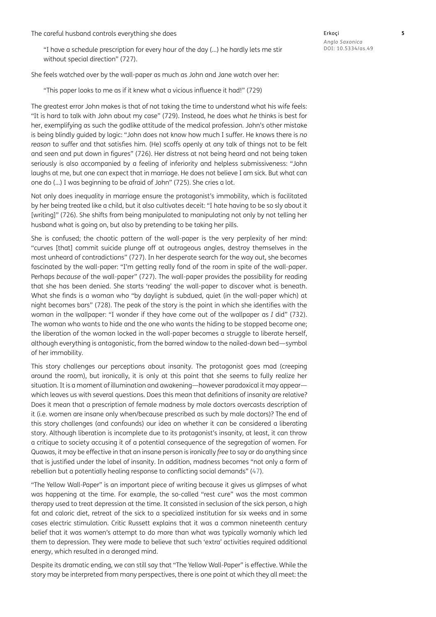The careful husband controls everything she does

"I have a schedule prescription for every hour of the day (…) he hardly lets me stir without special direction" (727).

She feels watched over by the wall-paper as much as John and Jane watch over her:

"This paper looks to me as if it knew what a vicious influence it had!" (729)

The greatest error John makes is that of not taking the time to understand what his wife feels: "It is hard to talk with John about my case" (729). Instead, he does what *he* thinks is best for her, exemplifying as such the godlike attitude of the medical profession. John's other mistake is being blindly guided by logic: "John does not know how much I suffer. He knows there is *no reason* to suffer and that satisfies him. (He) scoffs openly at any talk of things not to be felt and seen and put down in figures" (726). Her distress at not being heard and not being taken seriously is also accompanied by a feeling of inferiority and helpless submissiveness: "John laughs at me, but one can expect that in marriage. He does not believe I am sick. But what can one do (…) I was beginning to be afraid of John" (725). She cries a lot.

Not only does inequality in marriage ensure the protagonist's immobility, which is facilitated by her being treated like a child, but it also cultivates deceit: "I hate having to be so sly about it [writing]" (726). She shifts from being manipulated to manipulating not only by not telling her husband what is going on, but also by pretending to be taking her pills.

She is confused; the chaotic pattern of the wall-paper is the very perplexity of her mind: "curves [that] commit suicide plunge off at outrageous angles, destroy themselves in the most unheard of contradictions" (727). In her desperate search for the way out, she becomes fascinated by the wall-paper: "I'm getting really fond of the room in spite of the wall-paper. Perhaps *because* of the wall-paper" (727). The wall-paper provides the possibility for reading that she has been denied. She starts 'reading' the wall-paper to discover what is beneath. What she finds is a woman who "by daylight is subdued, quiet (in the wall-paper which) at night becomes bars" (728). The peak of the story is the point in which she identifies with the woman in the wallpaper: "I wonder if they have come out of the wallpaper as *I* did" (732). The woman who wants to hide and the one who wants the hiding to be stopped become one; the liberation of the woman locked in the wall-paper becomes a struggle to liberate herself, although everything is antagonistic, from the barred window to the nailed-down bed—symbol of her immobility.

This story challenges our perceptions about insanity. The protagonist goes mad (creeping around the room), but ironically, it is only at this point that she seems to fully realize her situation. It is a moment of illumination and awakening—however paradoxical it may appear which leaves us with several questions. Does this mean that definitions of insanity are relative? Does it mean that a prescription of female madness by male doctors overcasts description of it (i.e. women are insane only when/because prescribed as such by male doctors)? The end of this story challenges (and confounds) our idea on whether it can be considered a liberating story. Although liberation is incomplete due to its protagonist's insanity, at least, it can throw a critique to society accusing it of a potential consequence of the segregation of women. For Quawas, it may be effective in that an insane person is ironically *free* to say or do anything since that is justified under the label of insanity. In addition, madness becomes "not only a form of rebellion but a potentially healing response to conflicting social demands" (47).

"The Yellow Wall-Paper" is an important piece of writing because it gives us glimpses of what was happening at the time. For example, the so-called "rest cure" was the most common therapy used to treat depression at the time. It consisted in seclusion of the sick person, a high fat and caloric diet, retreat of the sick to a specialized institution for six weeks and in some cases electric stimulation. Critic Russett explains that it was a common nineteenth century belief that it was women's attempt to do more than what was typically womanly which led them to depression. They were made to believe that such 'extra' activities required additional energy, which resulted in a deranged mind.

Despite its dramatic ending, we can still say that "The Yellow Wall-Paper" is effective. While the story may be interpreted from many perspectives, there is one point at which they all meet: the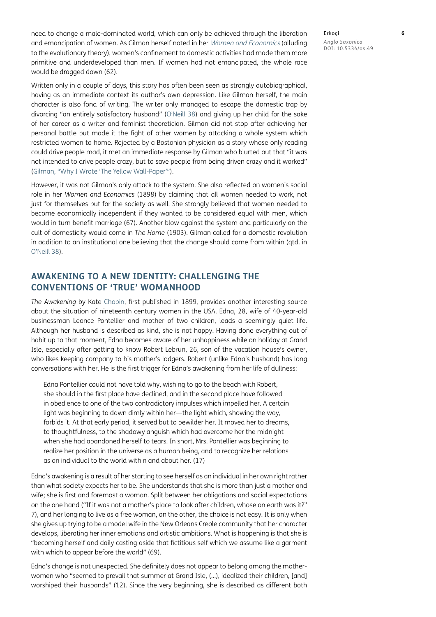need to change a male-dominated world, which can only be achieved through the liberation and emancipation of women. As Gilman herself noted in her [Women and Economics](#page-9-12) (alluding to the evolutionary theory), women's confinement to domestic activities had made them more primitive and underdeveloped than men. If women had not emancipated, the whole race would be dragged down (62).

Written only in a couple of days, this story has often been seen as strongly autobiographical, having as an immediate context its author's own depression. Like Gilman herself, the main character is also fond of writing. The writer only managed to escape the domestic trap by divorcing "an entirely satisfactory husband" (O'Neill 38) and giving up her child for the sake of her career as a writer and feminist theoretician. Gilman did not stop after achieving her personal battle but made it the fight of other women by attacking a whole system which restricted women to home. Rejected by a Bostonian physician as a story whose only reading could drive people mad, it met an immediate response by Gilman who blurted out that "it was not intended to drive people crazy, but to save people from being driven crazy and it worked" (Gilman, "Why I Wrote 'The Yellow Wall-Paper'").

However, it was not Gilman's only attack to the system. She also reflected on women's social role in her *Women and Economics* (1898) by claiming that all women needed to work, not just for themselves but for the society as well. She strongly believed that women needed to become economically independent if they wanted to be considered equal with men, which would in turn benefit marriage (67). Another blow against the system and particularly on the cult of domesticity would come in *The Home* (1903). Gilman called for a domestic revolution in addition to an institutional one believing that the change should come from within (qtd. in O'Neill 38).

# **AWAKENING TO A NEW IDENTITY: CHALLENGING THE CONVENTIONS OF 'TRUE' WOMANHOOD**

*The Awakening* by Kate [Chopin,](#page-9-4) first published in 1899, provides another interesting source about the situation of nineteenth century women in the USA. Edna, 28, wife of 40-year-old businessman Leonce Pontellier and mother of two children, leads a seemingly quiet life. Although her husband is described as kind, she is not happy. Having done everything out of habit up to that moment, Edna becomes aware of her unhappiness while on holiday at Grand Isle, especially after getting to know Robert Lebrun, 26, son of the vacation house's owner, who likes keeping company to his mother's lodgers. Robert (unlike Edna's husband) has long conversations with her. He is the first trigger for Edna's awakening from her life of dullness:

Edna Pontellier could not have told why, wishing to go to the beach with Robert, she should in the first place have declined, and in the second place have followed in obedience to one of the two contradictory impulses which impelled her. A certain light was beginning to dawn dimly within her—the light which, showing the way, forbids it. At that early period, it served but to bewilder her. It moved her to dreams, to thoughtfulness, to the shadowy anguish which had overcome her the midnight when she had abandoned herself to tears. In short, Mrs. Pontellier was beginning to realize her position in the universe as a human being, and to recognize her relations as an individual to the world within and about her. (17)

Edna's awakening is a result of her starting to see herself as an individual in her own right rather than what society expects her to be. She understands that she is more than just a mother and wife; she is first and foremost a woman. Split between her obligations and social expectations on the one hand ("If it was not a mother's place to look after children, whose on earth was it?" 7), and her longing to live as a free woman, on the other, the choice is not easy. It is only when she gives up trying to be a model wife in the New Orleans Creole community that her character develops, liberating her inner emotions and artistic ambitions. What is happening is that she is "becoming herself and daily casting aside that fictitious self which we assume like a garment with which to appear before the world" (69).

Edna's change is not unexpected. She definitely does not appear to belong among the motherwomen who "seemed to prevail that summer at Grand Isle, (…), idealized their children, [and] worshiped their husbands" (12). Since the very beginning, she is described as different both Erkoçi **6** *Anglo Saxonica* DOI: 10.5334/as.49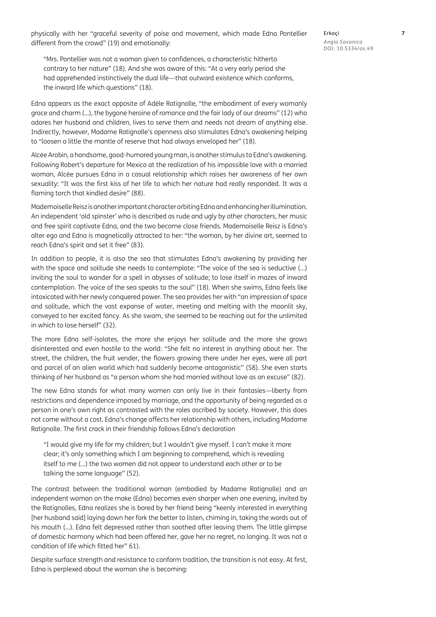physically with her "graceful severity of poise and movement, which made Edna Pontellier different from the crowd" (19) and emotionally:

Erkoçi **7** *Anglo Saxonica* DOI: 10.5334/as.49

"Mrs. Pontellier was not a woman given to confidences, a characteristic hitherto contrary to her nature" (18). And she was aware of this: "At a very early period she had apprehended instinctively the dual life—that outward existence which conforms, the inward life which questions" (18).

Edna appears as the exact opposite of Adèle Ratignolle*,* "the embodiment of every womanly grace and charm (…), the bygone heroine of romance and the fair lady of our dreams" (12) who adores her husband and children, lives to serve them and needs not dream of anything else. Indirectly, however, Madame Ratignolle's openness also stimulates Edna's awakening helping to "loosen a little the mantle of reserve that had always enveloped her" (18).

Alcée Arobin, a handsome, good-humored young man, is another stimulus to Edna's awakening. Following Robert's departure for Mexico at the realization of his impossible love with a married woman, Alcée pursues Edna in a casual relationship which raises her awareness of her own sexuality: "It was the first kiss of her life to which her nature had really responded. It was a flaming torch that kindled desire" (88).

Mademoiselle Reisz is another important character orbiting Edna and enhancing her illumination. An independent 'old spinster' who is described as rude and ugly by other characters, her music and free spirit captivate Edna, and the two become close friends. Mademoiselle Reisz is Edna's alter ego and Edna is magnetically attracted to her: "the woman, by her divine art, seemed to reach Edna's spirit and set it free" (83).

In addition to people, it is also the sea that stimulates Edna's awakening by providing her with the space and solitude she needs to contemplate: "The voice of the sea is seductive (…) inviting the soul to wander for a spell in abysses of solitude; to lose itself in mazes of inward contemplation. The voice of the sea speaks to the soul" (18). When she swims, Edna feels like intoxicated with her newly conquered power. The sea provides her with "an impression of space and solitude, which the vast expanse of water, meeting and melting with the moonlit sky, conveyed to her excited fancy. As she swam, she seemed to be reaching out for the unlimited in which to lose herself" (32).

The more Edna self-isolates, the more she enjoys her solitude and the more she grows disinterested and even hostile to the world: "She felt no interest in anything about her. The street, the children, the fruit vender, the flowers growing there under her eyes, were all part and parcel of an alien world which had suddenly become antagonistic" (58). She even starts thinking of her husband as "a person whom she had married without love as an excuse" (82).

The new Edna stands for what many women can only live in their fantasies—liberty from restrictions and dependence imposed by marriage, and the opportunity of being regarded as a person in one's own right as contrasted with the roles ascribed by society. However, this does not come without a cost. Edna's change affects her relationship with others, including Madame Ratignolle. The first crack in their friendship follows Edna's declaration

"I would give my life for my children; but I wouldn't give myself. I can't make it more clear; it's only something which I am beginning to comprehend, which is revealing itself to me (…) the two women did not appear to understand each other or to be talking the same language" (52).

The contrast between the traditional woman (embodied by Madame Ratignolle) and an independent woman on the make (Edna) becomes even sharper when one evening, invited by the Ratignolles, Edna realizes she is bored by her friend being "keenly interested in everything [her husband said] laying down her fork the better to listen, chiming in, taking the words out of his mouth (…). Edna felt depressed rather than soothed after leaving them. The little glimpse of domestic harmony which had been offered her, gave her no regret, no longing. It was not a condition of life which fitted her" 61).

Despite surface strength and resistance to conform tradition, the transition is not easy. At first, Edna is perplexed about the woman she is becoming: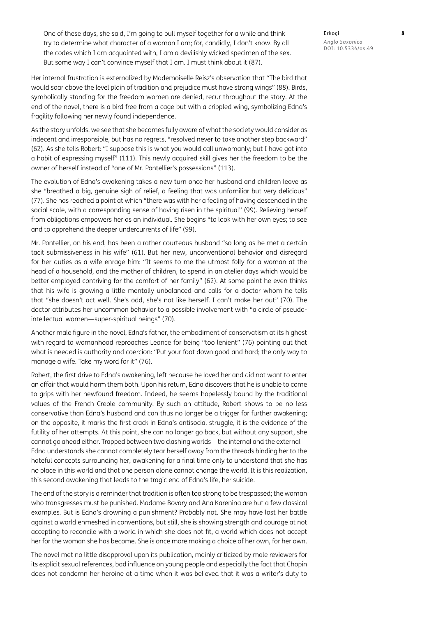One of these days, she said, I'm going to pull myself together for a while and think try to determine what character of a woman I am; for, candidly, I don't know. By all the codes which I am acquainted with, I am a devilishly wicked specimen of the sex. But some way I can't convince myself that I am. I must think about it (87).

Her internal frustration is externalized by Mademoiselle Reisz's observation that "The bird that would soar above the level plain of tradition and prejudice must have strong wings" (88). Birds, symbolically standing for the freedom women are denied, recur throughout the story. At the end of the novel, there is a bird free from a cage but with a crippled wing, symbolizing Edna's fragility following her newly found independence.

As the story unfolds, we see that she becomes fully aware of what the society would consider as indecent and irresponsible, but has no regrets, "resolved never to take another step backward" (62). As she tells Robert: "I suppose this is what you would call unwomanly; but I have got into a habit of expressing myself" (111). This newly acquired skill gives her the freedom to be the owner of herself instead of "one of Mr. Pontellier's possessions" (113).

The evolution of Edna's awakening takes a new turn once her husband and children leave as she "breathed a big, genuine sigh of relief, a feeling that was unfamiliar but very delicious" (77). She has reached a point at which "there was with her a feeling of having descended in the social scale, with a corresponding sense of having risen in the spiritual" (99). Relieving herself from obligations empowers her as an individual. She begins "to look with her own eyes; to see and to apprehend the deeper undercurrents of life" (99).

Mr. Pontellier, on his end, has been a rather courteous husband "so long as he met a certain tacit submissiveness in his wife" (61). But her new, unconventional behavior and disregard for her duties as a wife enrage him: "It seems to me the utmost folly for a woman at the head of a household, and the mother of children, to spend in an atelier days which would be better employed contriving for the comfort of her family" (62). At some point he even thinks that his wife is growing a little mentally unbalanced and calls for a doctor whom he tells that "she doesn't act well. She's odd, she's not like herself. I can't make her out" (70). The doctor attributes her uncommon behavior to a possible involvement with "a circle of pseudointellectual women—super-spiritual beings" (70).

Another male figure in the novel, Edna's father, the embodiment of conservatism at its highest with regard to womanhood reproaches Leonce for being "too lenient" (76) pointing out that what is needed is authority and coercion: "Put your foot down good and hard; the only way to manage a wife. Take my word for it" (76).

Robert, the first drive to Edna's awakening, left because he loved her and did not want to enter an affair that would harm them both. Upon his return, Edna discovers that he is unable to come to grips with her newfound freedom. Indeed, he seems hopelessly bound by the traditional values of the French Creole community. By such an attitude, Robert shows to be no less conservative than Edna's husband and can thus no longer be a trigger for further awakening; on the opposite, it marks the first crack in Edna's antisocial struggle, it is the evidence of the futility of her attempts. At this point, she can no longer go back, but without any support, she cannot go ahead either. Trapped between two clashing worlds—the internal and the external— Edna understands she cannot completely tear herself away from the threads binding her to the hateful concepts surrounding her, awakening for a final time only to understand that she has no place in this world and that one person alone cannot change the world. It is this realization, this second awakening that leads to the tragic end of Edna's life, her suicide.

The end of the story is a reminder that tradition is often too strong to be trespassed; the woman who transgresses must be punished. Madame Bovary and Ana Karenina are but a few classical examples. But is Edna's drowning a punishment? Probably not. She may have lost her battle against a world enmeshed in conventions, but still, she is showing strength and courage at not accepting to reconcile with a world in which she does not fit, a world which does not accept her for the woman she has become. She is once more making a choice of her own, for her own.

The novel met no little disapproval upon its publication, mainly criticized by male reviewers for its explicit sexual references, bad influence on young people and especially the fact that Chopin does not condemn her heroine at a time when it was believed that it was a writer's duty to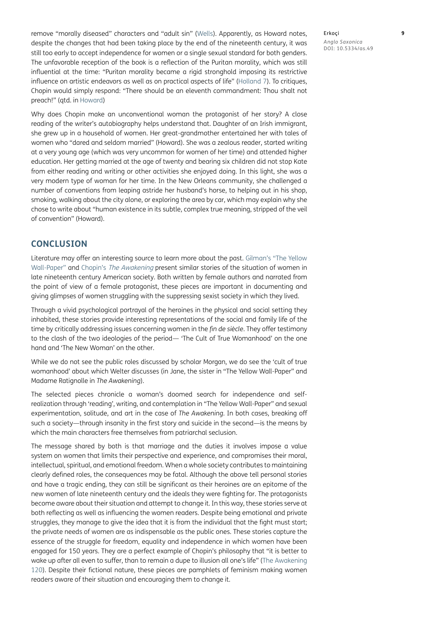remove "morally diseased" characters and "adult sin" [\(Wells\)](#page-9-13). Apparently, as Howard notes, despite the changes that had been taking place by the end of the nineteenth century, it was still too early to accept independence for women or a single sexual standard for both genders. The unfavorable reception of the book is a reflection of the Puritan morality, which was still influential at the time: "Puritan morality became a rigid stronghold imposing its restrictive influence on artistic endeavors as well as on practical aspects of life" (Holland 7). To critiques, Chopin would simply respond: "There should be an eleventh commandment: Thou shalt not preach!" (qtd. in Howard)

Why does Chopin make an unconventional woman the protagonist of her story? A close reading of the writer's autobiography helps understand that. Daughter of an Irish immigrant, she grew up in a household of women. Her great-grandmother entertained her with tales of women who "dared and seldom married" (Howard). She was a zealous reader, started writing at a very young age (which was very uncommon for women of her time) and attended higher education. Her getting married at the age of twenty and bearing six children did not stop Kate from either reading and writing or other activities she enjoyed doing. In this light, she was a very modern type of woman for her time. In the New Orleans community, she challenged a number of conventions from leaping astride her husband's horse, to helping out in his shop, smoking, walking about the city alone, or exploring the area by car, which may explain why she chose to write about "human existence in its subtle, complex true meaning, stripped of the veil of convention" (Howard).

## **CONCLUSION**

Literature may offer an interesting source to learn more about the past. Gilman's "The Yellow Wall-Paper" and Chopin's The Awakening present similar stories of the situation of women in late nineteenth century American society. Both written by female authors and narrated from the point of view of a female protagonist, these pieces are important in documenting and giving glimpses of women struggling with the suppressing sexist society in which they lived.

Through a vivid psychological portrayal of the heroines in the physical and social setting they inhabited, these stories provide interesting representations of the social and family life of the time by critically addressing issues concerning women in the *fin de siècle*. They offer testimony to the clash of the two ideologies of the period— 'The Cult of True Womanhood' on the one hand and 'The New Woman' on the other.

While we do not see the public roles discussed by scholar Morgan, we do see the 'cult of true womanhood' about which Welter discusses (in Jane, the sister in "The Yellow Wall-Paper" and Madame Ratignolle in *The Awakening*).

The selected pieces chronicle a woman's doomed search for independence and selfrealization through 'reading', writing, and contemplation in "The Yellow Wall-Paper" and sexual experimentation, solitude, and art in the case of *The Awakening*. In both cases, breaking off such a society—through insanity in the first story and suicide in the second—is the means by which the main characters free themselves from patriarchal seclusion.

The message shared by both is that marriage and the duties it involves impose a value system on women that limits their perspective and experience, and compromises their moral, intellectual, spiritual, and emotional freedom. When a whole society contributes to maintaining clearly defined roles, the consequences may be fatal. Although the above tell personal stories and have a tragic ending, they can still be significant as their heroines are an epitome of the new women of late nineteenth century and the ideals they were fighting for. The protagonists become aware about their situation and attempt to change it. In this way, these stories serve at both reflecting as well as influencing the women readers. Despite being emotional and private struggles, they manage to give the idea that it is from the individual that the fight must start; the private needs of women are as indispensable as the public ones. These stories capture the essence of the struggle for freedom, equality and independence in which women have been engaged for 150 years. They are a perfect example of Chopin's philosophy that "it is better to wake up after all even to suffer, than to remain a dupe to illusion all one's life" ([The Awakening](#page-9-4)  [120](#page-9-4)). Despite their fictional nature, these pieces are pamphlets of feminism making women readers aware of their situation and encouraging them to change it.